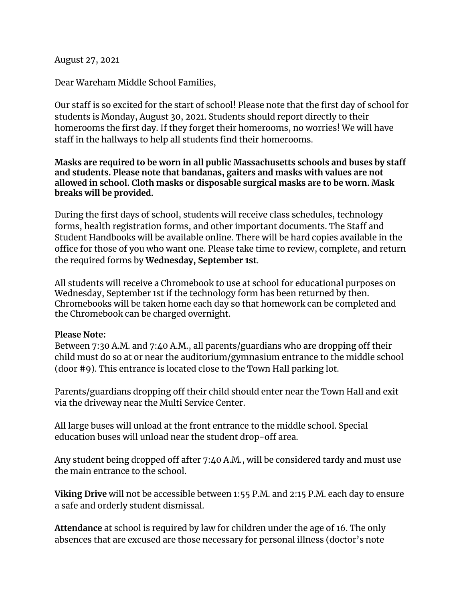August 27, 2021

Dear Wareham Middle School Families,

Our staff is so excited for the start of school! Please note that the first day of school for students is Monday, August 30, 2021. Students should report directly to their homerooms the first day. If they forget their homerooms, no worries! We will have staff in the hallways to help all students find their homerooms.

**Masks are required to be worn in all public Massachusetts schools and buses by staff and students. Please note that bandanas, gaiters and masks with values are not allowed in school. Cloth masks or disposable surgical masks are to be worn. Mask breaks will be provided.**

During the first days of school, students will receive class schedules, technology forms, health registration forms, and other important documents. The Staff and Student Handbooks will be available online. There will be hard copies available in the office for those of you who want one. Please take time to review, complete, and return the required forms by **Wednesday, September 1st**.

All students will receive a Chromebook to use at school for educational purposes on Wednesday, September 1st if the technology form has been returned by then. Chromebooks will be taken home each day so that homework can be completed and the Chromebook can be charged overnight.

## **Please Note:**

Between 7:30 A.M. and 7:40 A.M., all parents/guardians who are dropping off their child must do so at or near the auditorium/gymnasium entrance to the middle school (door #9). This entrance is located close to the Town Hall parking lot.

Parents/guardians dropping off their child should enter near the Town Hall and exit via the driveway near the Multi Service Center.

All large buses will unload at the front entrance to the middle school. Special education buses will unload near the student drop-off area.

Any student being dropped off after 7:40 A.M., will be considered tardy and must use the main entrance to the school.

**Viking Drive** will not be accessible between 1:55 P.M. and 2:15 P.M. each day to ensure a safe and orderly student dismissal.

**Attendance** at school is required by law for children under the age of 16. The only absences that are excused are those necessary for personal illness (doctor's note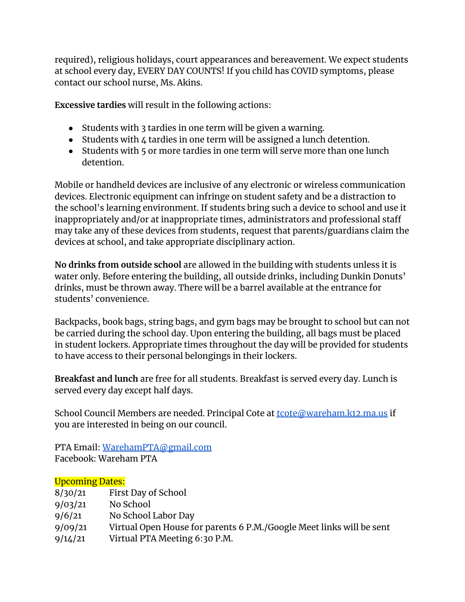required), religious holidays, court appearances and bereavement. We expect students at school every day, EVERY DAY COUNTS! If you child has COVID symptoms, please contact our school nurse, Ms. Akins.

**Excessive tardies** will result in the following actions:

- Students with 3 tardies in one term will be given a warning.
- Students with 4 tardies in one term will be assigned a lunch detention.
- Students with 5 or more tardies in one term will serve more than one lunch detention.

Mobile or handheld devices are inclusive of any electronic or wireless communication devices. Electronic equipment can infringe on student safety and be a distraction to the school's learning environment. If students bring such a device to school and use it inappropriately and/or at inappropriate times, administrators and professional staff may take any of these devices from students, request that parents/guardians claim the devices at school, and take appropriate disciplinary action.

**No drinks from outside school** are allowed in the building with students unless it is water only. Before entering the building, all outside drinks, including Dunkin Donuts' drinks, must be thrown away. There will be a barrel available at the entrance for students' convenience.

Backpacks, book bags, string bags, and gym bags may be brought to school but can not be carried during the school day. Upon entering the building, all bags must be placed in student lockers. Appropriate times throughout the day will be provided for students to have access to their personal belongings in their lockers.

**Breakfast and lunch** are free for all students. Breakfast is served every day. Lunch is served every day except half days.

School Council Members are needed. Principal Cote at **toote@wareham.k12.ma.us** if you are interested in being on our council.

PTA Email: [WarehamPTA@gmail.com](mailto:WarehamPTA@gmail.com) Facebook: Wareham PTA

## Upcoming Dates:

| 8/30/21 | First Day of School                                                  |
|---------|----------------------------------------------------------------------|
| 9/03/21 | No School                                                            |
| 9/6/21  | No School Labor Day                                                  |
| 9/09/21 | Virtual Open House for parents 6 P.M./Google Meet links will be sent |
| 9/14/21 | Virtual PTA Meeting 6:30 P.M.                                        |